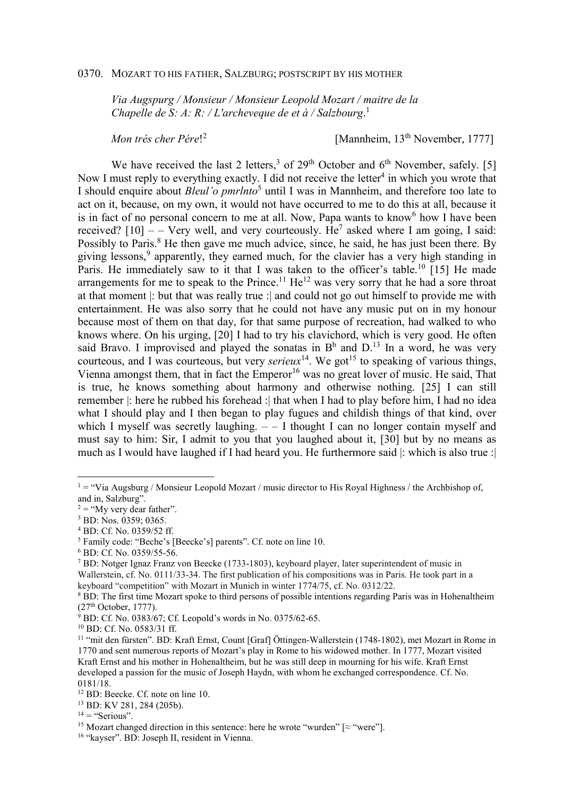## 0370. MOZART TO HIS FATHER, SALZBURG; POSTSCRIPT BY HIS MOTHER

*Via Augspurg / Monsieur / Monsieur Leopold Mozart / maitre de la Chapelle de S: A: R: / L'archeveque de et à / Salzbourg*. 1

*Mon trés cher Pére*! 2

[Mannheim, 13<sup>th</sup> November, 1777]

We have received the last 2 letters,<sup>3</sup> of 29<sup>th</sup> October and  $6<sup>th</sup>$  November, safely. [5] Now I must reply to everything exactly. I did not receive the letter<sup>4</sup> in which you wrote that I should enquire about *Bleul'o pmrlnto*<sup>5</sup> until I was in Mannheim, and therefore too late to act on it, because, on my own, it would not have occurred to me to do this at all, because it is in fact of no personal concern to me at all. Now, Papa wants to know<sup>6</sup> how I have been received?  $[10]$  – – Very well, and very courteously. He<sup>7</sup> asked where I am going, I said: Possibly to Paris.<sup>8</sup> He then gave me much advice, since, he said, he has just been there. By giving lessons,<sup>9</sup> apparently, they earned much, for the clavier has a very high standing in Paris. He immediately saw to it that I was taken to the officer's table.<sup>10</sup> [15] He made arrangements for me to speak to the Prince.<sup>11</sup> He<sup>12</sup> was very sorry that he had a sore throat at that moment |: but that was really true :| and could not go out himself to provide me with entertainment. He was also sorry that he could not have any music put on in my honour because most of them on that day, for that same purpose of recreation, had walked to who knows where. On his urging, [20] I had to try his clavichord, which is very good. He often said Bravo. I improvised and played the sonatas in  $B^b$  and  $D^{13}$  In a word, he was very courteous, and I was courteous, but very *serieux*<sup>14</sup>. We got<sup>15</sup> to speaking of various things, Vienna amongst them, that in fact the  $Emperor<sup>16</sup>$  was no great lover of music. He said, That is true, he knows something about harmony and otherwise nothing. [25] I can still remember |: here he rubbed his forehead :| that when I had to play before him, I had no idea what I should play and I then began to play fugues and childish things of that kind, over which I myself was secretly laughing.  $-1$  thought I can no longer contain myself and must say to him: Sir, I admit to you that you laughed about it, [30] but by no means as much as I would have laughed if I had heard you. He furthermore said |: which is also true :|

 $1 = "V$ ia Augsburg / Monsieur Leopold Mozart / music director to His Royal Highness / the Archbishop of, and in, Salzburg".

 $2 =$  "My very dear father".

<sup>3</sup> BD: Nos. 0359; 0365.

<sup>4</sup> BD: Cf. No. 0359/52 ff.

<sup>5</sup> Family code: "Beche's [Beecke's] parents". Cf. note on line 10.

<sup>6</sup> BD: Cf. No. 0359/55-56.

<sup>&</sup>lt;sup>7</sup> BD: Notger Ignaz Franz von Beecke (1733-1803), keyboard player, later superintendent of music in Wallerstein, cf. No. 0111/33-34. The first publication of his compositions was in Paris. He took part in a keyboard "competition" with Mozart in Munich in winter 1774/75, cf. No. 0312/22.

<sup>&</sup>lt;sup>8</sup> BD: The first time Mozart spoke to third persons of possible intentions regarding Paris was in Hohenaltheim (27th October, 1777).

<sup>&</sup>lt;sup>9</sup> BD: Cf. No. 0383/67; Cf. Leopold's words in No. 0375/62-65.

<sup>10</sup> BD: Cf. No. 0583/31 ff.

<sup>11</sup> "mit den fürsten". BD: Kraft Ernst, Count [Graf] Öttingen-Wallerstein (1748-1802), met Mozart in Rome in 1770 and sent numerous reports of Mozart's play in Rome to his widowed mother. In 1777, Mozart visited Kraft Ernst and his mother in Hohenaltheim, but he was still deep in mourning for his wife. Kraft Ernst developed a passion for the music of Joseph Haydn, with whom he exchanged correspondence. Cf. No. 0181/18.

<sup>&</sup>lt;sup>12</sup> BD: Beecke. Cf. note on line 10.

<sup>13</sup> BD: KV 281, 284 (205b).

 $14 =$  "Serious".

<sup>&</sup>lt;sup>15</sup> Mozart changed direction in this sentence: here he wrote "wurden" [ $\approx$  "were"].

<sup>&</sup>lt;sup>16</sup> "kayser". BD: Joseph II, resident in Vienna.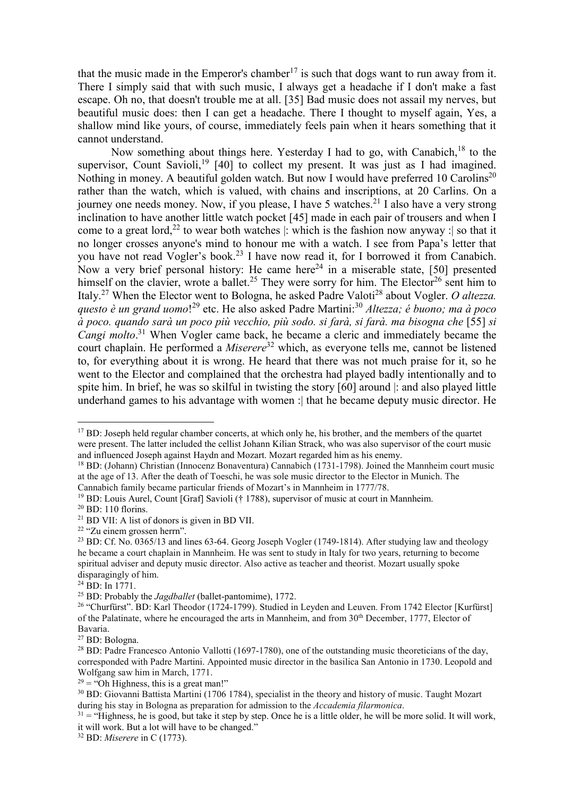that the music made in the Emperor's chamber<sup>17</sup> is such that dogs want to run away from it. There I simply said that with such music, I always get a headache if I don't make a fast escape. Oh no, that doesn't trouble me at all. [35] Bad music does not assail my nerves, but beautiful music does: then I can get a headache. There I thought to myself again, Yes, a shallow mind like yours, of course, immediately feels pain when it hears something that it cannot understand.

Now something about things here. Yesterday I had to go, with Canabich,  $18$  to the supervisor, Count Savioli,<sup>19</sup> [40] to collect my present. It was just as I had imagined. Nothing in money. A beautiful golden watch. But now I would have preferred 10 Carolins<sup>20</sup> rather than the watch, which is valued, with chains and inscriptions, at 20 Carlins. On a journey one needs money. Now, if you please, I have 5 watches.<sup>21</sup> I also have a very strong inclination to have another little watch pocket [45] made in each pair of trousers and when I come to a great lord,<sup>22</sup> to wear both watches  $\vert$ : which is the fashion now anyway : so that it no longer crosses anyone's mind to honour me with a watch. I see from Papa's letter that you have not read Vogler's book.<sup>23</sup> I have now read it, for I borrowed it from Canabich. Now a very brief personal history: He came here<sup>24</sup> in a miserable state, [50] presented himself on the clavier, wrote a ballet.<sup>25</sup> They were sorry for him. The Elector<sup>26</sup> sent him to Italy.<sup>27</sup> When the Elector went to Bologna, he asked Padre Valoti<sup>28</sup> about Vogler. *O altezza. questo è un grand uomo*! <sup>29</sup> etc. He also asked Padre Martini:<sup>30</sup> *Altezza; é buono; ma à poco à poco. quando sarà un poco più vecchio, più sodo. si farà, si farà. ma bisogna che* [55] *si Cangi molto*. <sup>31</sup> When Vogler came back, he became a cleric and immediately became the court chaplain. He performed a *Miserere*<sup>32</sup> which, as everyone tells me, cannot be listened to, for everything about it is wrong. He heard that there was not much praise for it, so he went to the Elector and complained that the orchestra had played badly intentionally and to spite him. In brief, he was so skilful in twisting the story [60] around |: and also played little underhand games to his advantage with women : that he became deputy music director. He

 $17$  BD: Joseph held regular chamber concerts, at which only he, his brother, and the members of the quartet were present. The latter included the cellist Johann Kilian Strack, who was also supervisor of the court music and influenced Joseph against Haydn and Mozart. Mozart regarded him as his enemy.

<sup>18</sup> BD: (Johann) Christian (Innocenz Bonaventura) Cannabich (1731-1798). Joined the Mannheim court music at the age of 13. After the death of Toeschi, he was sole music director to the Elector in Munich. The Cannabich family became particular friends of Mozart's in Mannheim in 1777/78.

<sup>&</sup>lt;sup>19</sup> BD: Louis Aurel, Count [Graf] Savioli († 1788), supervisor of music at court in Mannheim.

<sup>20</sup> BD: 110 florins.

<sup>21</sup> BD VII: A list of donors is given in BD VII.

<sup>22</sup> "Zu einem grossen herrn".

<sup>&</sup>lt;sup>23</sup> BD: Cf. No. 0365/13 and lines 63-64. Georg Joseph Vogler (1749-1814). After studying law and theology he became a court chaplain in Mannheim. He was sent to study in Italy for two years, returning to become spiritual adviser and deputy music director. Also active as teacher and theorist. Mozart usually spoke disparagingly of him.

<sup>24</sup> BD: In 1771.

<sup>25</sup> BD: Probably the *Jagdballet* (ballet-pantomime), 1772.

<sup>26</sup> "Churfürst". BD: Karl Theodor (1724-1799). Studied in Leyden and Leuven. From 1742 Elector [Kurfürst] of the Palatinate, where he encouraged the arts in Mannheim, and from 30th December, 1777, Elector of Bavaria.

<sup>27</sup> BD: Bologna.

<sup>&</sup>lt;sup>28</sup> BD: Padre Francesco Antonio Vallotti (1697-1780), one of the outstanding music theoreticians of the day, corresponded with Padre Martini. Appointed music director in the basilica San Antonio in 1730. Leopold and Wolfgang saw him in March, 1771.

 $29 =$  "Oh Highness, this is a great man!"

<sup>&</sup>lt;sup>30</sup> BD: Giovanni Battista Martini (1706 1784), specialist in the theory and history of music. Taught Mozart during his stay in Bologna as preparation for admission to the *Accademia filarmonica*.

 $31 =$  "Highness, he is good, but take it step by step. Once he is a little older, he will be more solid. It will work, it will work. But a lot will have to be changed."

<sup>32</sup> BD: *Miserere* in C (1773).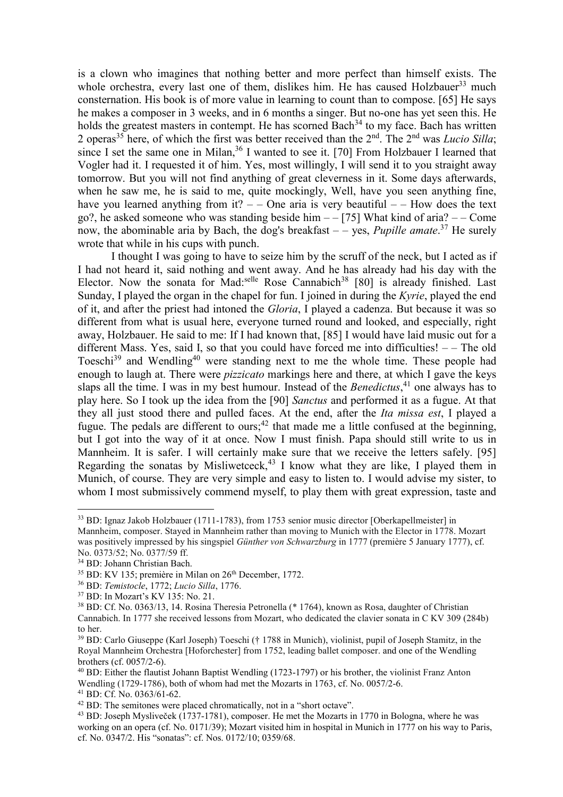is a clown who imagines that nothing better and more perfect than himself exists. The whole orchestra, every last one of them, dislikes him. He has caused Holzbauer<sup>33</sup> much consternation. His book is of more value in learning to count than to compose. [65] He says he makes a composer in 3 weeks, and in 6 months a singer. But no-one has yet seen this. He holds the greatest masters in contempt. He has scorned Bach<sup>34</sup> to my face. Bach has written 2 operas<sup>35</sup> here, of which the first was better received than the  $2<sup>nd</sup>$ . The  $2<sup>nd</sup>$  was *Lucio Silla*; since I set the same one in Milan,  $36$  I wanted to see it. [70] From Holzbauer I learned that Vogler had it. I requested it of him. Yes, most willingly, I will send it to you straight away tomorrow. But you will not find anything of great cleverness in it. Some days afterwards, when he saw me, he is said to me, quite mockingly, Well, have you seen anything fine, have you learned anything from it?  $-$  One aria is very beautiful  $-$  How does the text go?, he asked someone who was standing beside him  $-$  [75] What kind of aria?  $-$  Come now, the abominable aria by Bach, the dog's breakfast – – yes, *Pupille amate*. <sup>37</sup> He surely wrote that while in his cups with punch.

I thought I was going to have to seize him by the scruff of the neck, but I acted as if I had not heard it, said nothing and went away. And he has already had his day with the Elector. Now the sonata for Mad:<sup>selle</sup> Rose Cannabich<sup>38</sup> [80] is already finished. Last Sunday, I played the organ in the chapel for fun. I joined in during the *Kyrie*, played the end of it, and after the priest had intoned the *Gloria*, I played a cadenza. But because it was so different from what is usual here, everyone turned round and looked, and especially, right away, Holzbauer. He said to me: If I had known that, [85] I would have laid music out for a different Mass. Yes, said I, so that you could have forced me into difficulties!  $-$  The old Toeschi<sup>39</sup> and Wendling<sup>40</sup> were standing next to me the whole time. These people had enough to laugh at. There were *pizzicato* markings here and there, at which I gave the keys slaps all the time. I was in my best humour. Instead of the *Benedictus*, <sup>41</sup> one always has to play here. So I took up the idea from the [90] *Sanctus* and performed it as a fugue. At that they all just stood there and pulled faces. At the end, after the *Ita missa est*, I played a fugue. The pedals are different to ours;<sup>42</sup> that made me a little confused at the beginning, but I got into the way of it at once. Now I must finish. Papa should still write to us in Mannheim. It is safer. I will certainly make sure that we receive the letters safely. [95] Regarding the sonatas by Misliwetceck,<sup>43</sup> I know what they are like, I played them in Munich, of course. They are very simple and easy to listen to. I would advise my sister, to whom I most submissively commend myself, to play them with great expression, taste and

<sup>33</sup> BD: Ignaz Jakob Holzbauer (1711-1783), from 1753 senior music director [Oberkapellmeister] in Mannheim, composer. Stayed in Mannheim rather than moving to Munich with the Elector in 1778. Mozart was positively impressed by his singspiel *Günther von Schwarzburg* in 1777 (première 5 January 1777), cf. No. 0373/52; No. 0377/59 ff.

<sup>34</sup> BD: Johann Christian Bach.

<sup>&</sup>lt;sup>35</sup> BD: KV 135; première in Milan on 26<sup>th</sup> December, 1772.

<sup>36</sup> BD: *Temistocle*, 1772; *Lucio Silla*, 1776.

<sup>37</sup> BD: In Mozart's KV 135: No. 21.

<sup>38</sup> BD: Cf. No. 0363/13, 14. Rosina Theresia Petronella (\* 1764), known as Rosa, daughter of Christian Cannabich. In 1777 she received lessons from Mozart, who dedicated the clavier sonata in C KV 309 (284b) to her.

<sup>39</sup> BD: Carlo Giuseppe (Karl Joseph) Toeschi († 1788 in Munich), violinist, pupil of Joseph Stamitz, in the Royal Mannheim Orchestra [Hoforchester] from 1752, leading ballet composer. and one of the Wendling brothers (cf. 0057/2-6).

<sup>40</sup> BD: Either the flautist Johann Baptist Wendling (1723-1797) or his brother, the violinist Franz Anton Wendling (1729-1786), both of whom had met the Mozarts in 1763, cf. No. 0057/2-6.

 $41$  BD: Cf. No. 0363/61-62.

<sup>&</sup>lt;sup>42</sup> BD: The semitones were placed chromatically, not in a "short octave".

<sup>43</sup> BD: Joseph Mysliveček (1737-1781), composer. He met the Mozarts in 1770 in Bologna, where he was working on an opera (cf. No. 0171/39); Mozart visited him in hospital in Munich in 1777 on his way to Paris, cf. No. 0347/2. His "sonatas": cf. Nos. 0172/10; 0359/68.